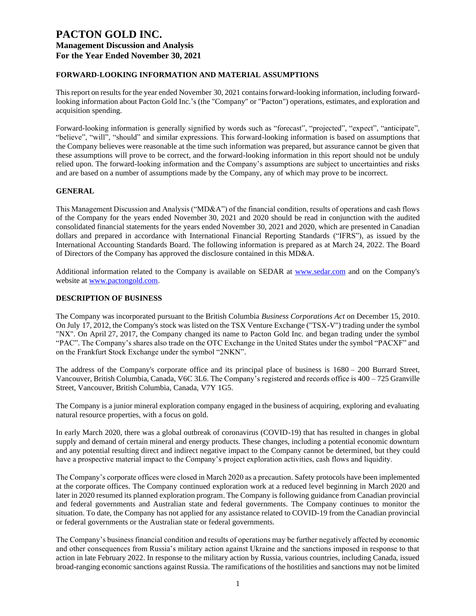### **FORWARD-LOOKING INFORMATION AND MATERIAL ASSUMPTIONS**

This report on results for the year ended November 30, 2021 contains forward-looking information, including forwardlooking information about Pacton Gold Inc.'s (the "Company" or "Pacton") operations, estimates, and exploration and acquisition spending.

Forward-looking information is generally signified by words such as "forecast", "projected", "expect", "anticipate", "believe", "will", "should" and similar expressions. This forward-looking information is based on assumptions that the Company believes were reasonable at the time such information was prepared, but assurance cannot be given that these assumptions will prove to be correct, and the forward-looking information in this report should not be unduly relied upon. The forward-looking information and the Company's assumptions are subject to uncertainties and risks and are based on a number of assumptions made by the Company, any of which may prove to be incorrect.

#### **GENERAL**

This Management Discussion and Analysis ("MD&A") of the financial condition, results of operations and cash flows of the Company for the years ended November 30, 2021 and 2020 should be read in conjunction with the audited consolidated financial statements for the years ended November 30, 2021 and 2020, which are presented in Canadian dollars and prepared in accordance with International Financial Reporting Standards ("IFRS"), as issued by the International Accounting Standards Board. The following information is prepared as at March 24, 2022. The Board of Directors of the Company has approved the disclosure contained in this MD&A.

Additional information related to the Company is available on SEDAR at [www.sedar.com](http://www.sedar.com/) and on the Company's website at [www.pactongold.com.](http://www.pactongold.com/)

#### **DESCRIPTION OF BUSINESS**

The Company was incorporated pursuant to the British Columbia *Business Corporations Act* on December 15, 2010. On July 17, 2012, the Company's stock was listed on the TSX Venture Exchange ("TSX-V") trading under the symbol "NX". On April 27, 2017, the Company changed its name to Pacton Gold Inc. and began trading under the symbol "PAC". The Company's shares also trade on the OTC Exchange in the United States under the symbol "PACXF" and on the Frankfurt Stock Exchange under the symbol "2NKN".

The address of the Company's corporate office and its principal place of business is 1680 – 200 Burrard Street, Vancouver, British Columbia, Canada, V6C 3L6. The Company's registered and records office is 400 – 725 Granville Street, Vancouver, British Columbia, Canada, V7Y 1G5.

The Company is a junior mineral exploration company engaged in the business of acquiring, exploring and evaluating natural resource properties, with a focus on gold.

In early March 2020, there was a global outbreak of coronavirus (COVID-19) that has resulted in changes in global supply and demand of certain mineral and energy products. These changes, including a potential economic downturn and any potential resulting direct and indirect negative impact to the Company cannot be determined, but they could have a prospective material impact to the Company's project exploration activities, cash flows and liquidity.

The Company's corporate offices were closed in March 2020 as a precaution. Safety protocols have been implemented at the corporate offices. The Company continued exploration work at a reduced level beginning in March 2020 and later in 2020 resumed its planned exploration program. The Company is following guidance from Canadian provincial and federal governments and Australian state and federal governments. The Company continues to monitor the situation. To date, the Company has not applied for any assistance related to COVID-19 from the Canadian provincial or federal governments or the Australian state or federal governments.

The Company's business financial condition and results of operations may be further negatively affected by economic and other consequences from Russia's military action against Ukraine and the sanctions imposed in response to that action in late February 2022. In response to the military action by Russia, various countries, including Canada, issued broad-ranging economic sanctions against Russia. The ramifications of the hostilities and sanctions may not be limited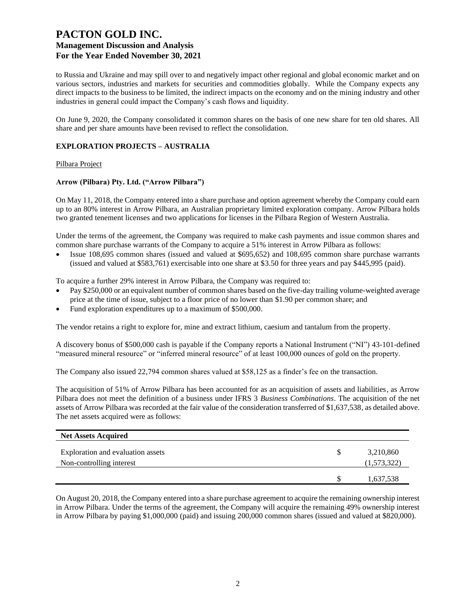to Russia and Ukraine and may spill over to and negatively impact other regional and global economic market and on various sectors, industries and markets for securities and commodities globally. While the Company expects any direct impacts to the business to be limited, the indirect impacts on the economy and on the mining industry and other industries in general could impact the Company's cash flows and liquidity.

On June 9, 2020, the Company consolidated it common shares on the basis of one new share for ten old shares. All share and per share amounts have been revised to reflect the consolidation.

### **EXPLORATION PROJECTS – AUSTRALIA**

#### Pilbara Project

#### **Arrow (Pilbara) Pty. Ltd. ("Arrow Pilbara")**

On May 11, 2018, the Company entered into a share purchase and option agreement whereby the Company could earn up to an 80% interest in Arrow Pilbara, an Australian proprietary limited exploration company. Arrow Pilbara holds two granted tenement licenses and two applications for licenses in the Pilbara Region of Western Australia.

Under the terms of the agreement, the Company was required to make cash payments and issue common shares and common share purchase warrants of the Company to acquire a 51% interest in Arrow Pilbara as follows:

• Issue 108,695 common shares (issued and valued at \$695,652) and 108,695 common share purchase warrants (issued and valued at \$583,761) exercisable into one share at \$3.50 for three years and pay \$445,995 (paid).

To acquire a further 29% interest in Arrow Pilbara, the Company was required to:

- Pay \$250,000 or an equivalent number of common shares based on the five-day trailing volume-weighted average price at the time of issue, subject to a floor price of no lower than \$1.90 per common share; and
- Fund exploration expenditures up to a maximum of \$500,000.

The vendor retains a right to explore for, mine and extract lithium, caesium and tantalum from the property.

A discovery bonus of \$500,000 cash is payable if the Company reports a National Instrument ("NI") 43-101-defined "measured mineral resource" or "inferred mineral resource" of at least 100,000 ounces of gold on the property.

The Company also issued 22,794 common shares valued at \$58,125 as a finder's fee on the transaction.

The acquisition of 51% of Arrow Pilbara has been accounted for as an acquisition of assets and liabilities, as Arrow Pilbara does not meet the definition of a business under IFRS 3 *Business Combinations*. The acquisition of the net assets of Arrow Pilbara was recorded at the fair value of the consideration transferred of \$1,637,538, as detailed above. The net assets acquired were as follows:

| <b>Net Assets Acquired</b>                                    |                          |
|---------------------------------------------------------------|--------------------------|
| Exploration and evaluation assets<br>Non-controlling interest | 3,210,860<br>(1,573,322) |
|                                                               | 1,637,538                |

On August 20, 2018, the Company entered into a share purchase agreement to acquire the remaining ownership interest in Arrow Pilbara. Under the terms of the agreement, the Company will acquire the remaining 49% ownership interest in Arrow Pilbara by paying \$1,000,000 (paid) and issuing 200,000 common shares (issued and valued at \$820,000).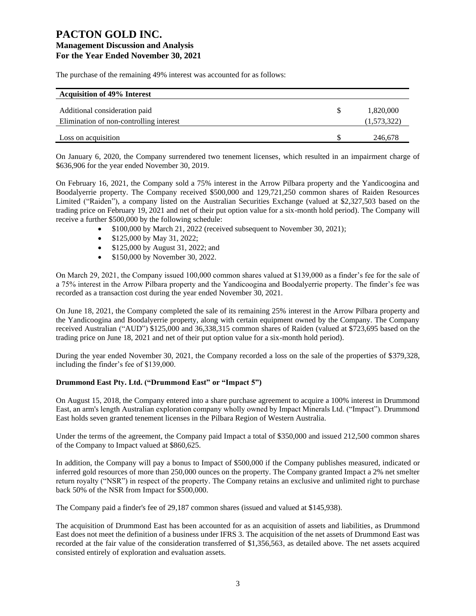The purchase of the remaining 49% interest was accounted for as follows:

| <b>Acquisition of 49% Interest</b>      |             |
|-----------------------------------------|-------------|
| Additional consideration paid           | 1,820,000   |
| Elimination of non-controlling interest | (1,573,322) |
| Loss on acquisition                     | 246,678     |

On January 6, 2020, the Company surrendered two tenement licenses, which resulted in an impairment charge of \$636,906 for the year ended November 30, 2019.

On February 16, 2021, the Company sold a 75% interest in the Arrow Pilbara property and the Yandicoogina and Boodalyerrie property. The Company received \$500,000 and 129,721,250 common shares of Raiden Resources Limited ("Raiden"), a company listed on the Australian Securities Exchange (valued at \$2,327,503 based on the trading price on February 19, 2021 and net of their put option value for a six-month hold period). The Company will receive a further \$500,000 by the following schedule:

- \$100,000 by March 21, 2022 (received subsequent to November 30, 2021);
- \$125,000 by May 31, 2022;
- \$125,000 by August 31, 2022; and
- \$150,000 by November 30, 2022.

On March 29, 2021, the Company issued 100,000 common shares valued at \$139,000 as a finder's fee for the sale of a 75% interest in the Arrow Pilbara property and the Yandicoogina and Boodalyerrie property. The finder's fee was recorded as a transaction cost during the year ended November 30, 2021.

On June 18, 2021, the Company completed the sale of its remaining 25% interest in the Arrow Pilbara property and the Yandicoogina and Boodalyerrie property, along with certain equipment owned by the Company. The Company received Australian ("AUD") \$125,000 and 36,338,315 common shares of Raiden (valued at \$723,695 based on the trading price on June 18, 2021 and net of their put option value for a six-month hold period).

During the year ended November 30, 2021, the Company recorded a loss on the sale of the properties of \$379,328, including the finder's fee of \$139,000.

### **Drummond East Pty. Ltd. ("Drummond East" or "Impact 5")**

On August 15, 2018, the Company entered into a share purchase agreement to acquire a 100% interest in Drummond East, an arm's length Australian exploration company wholly owned by Impact Minerals Ltd. ("Impact"). Drummond East holds seven granted tenement licenses in the Pilbara Region of Western Australia.

Under the terms of the agreement, the Company paid Impact a total of \$350,000 and issued 212,500 common shares of the Company to Impact valued at \$860,625.

In addition, the Company will pay a bonus to Impact of \$500,000 if the Company publishes measured, indicated or inferred gold resources of more than 250,000 ounces on the property. The Company granted Impact a 2% net smelter return royalty ("NSR") in respect of the property. The Company retains an exclusive and unlimited right to purchase back 50% of the NSR from Impact for \$500,000.

The Company paid a finder's fee of 29,187 common shares (issued and valued at \$145,938).

The acquisition of Drummond East has been accounted for as an acquisition of assets and liabilities, as Drummond East does not meet the definition of a business under IFRS 3. The acquisition of the net assets of Drummond East was recorded at the fair value of the consideration transferred of \$1,356,563, as detailed above. The net assets acquired consisted entirely of exploration and evaluation assets.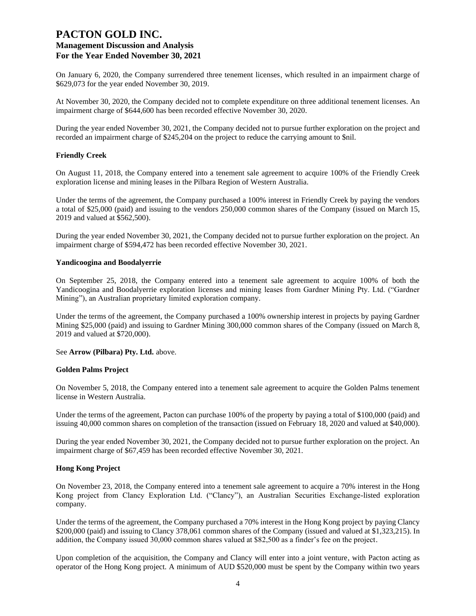On January 6, 2020, the Company surrendered three tenement licenses, which resulted in an impairment charge of \$629,073 for the year ended November 30, 2019.

At November 30, 2020, the Company decided not to complete expenditure on three additional tenement licenses. An impairment charge of \$644,600 has been recorded effective November 30, 2020.

During the year ended November 30, 2021, the Company decided not to pursue further exploration on the project and recorded an impairment charge of \$245,204 on the project to reduce the carrying amount to \$nil.

#### **Friendly Creek**

On August 11, 2018, the Company entered into a tenement sale agreement to acquire 100% of the Friendly Creek exploration license and mining leases in the Pilbara Region of Western Australia.

Under the terms of the agreement, the Company purchased a 100% interest in Friendly Creek by paying the vendors a total of \$25,000 (paid) and issuing to the vendors 250,000 common shares of the Company (issued on March 15, 2019 and valued at \$562,500).

During the year ended November 30, 2021, the Company decided not to pursue further exploration on the project. An impairment charge of \$594,472 has been recorded effective November 30, 2021.

#### **Yandicoogina and Boodalyerrie**

On September 25, 2018, the Company entered into a tenement sale agreement to acquire 100% of both the Yandicoogina and Boodalyerrie exploration licenses and mining leases from Gardner Mining Pty. Ltd. ("Gardner Mining"), an Australian proprietary limited exploration company.

Under the terms of the agreement, the Company purchased a 100% ownership interest in projects by paying Gardner Mining \$25,000 (paid) and issuing to Gardner Mining 300,000 common shares of the Company (issued on March 8, 2019 and valued at \$720,000).

#### See **Arrow (Pilbara) Pty. Ltd.** above.

#### **Golden Palms Project**

On November 5, 2018, the Company entered into a tenement sale agreement to acquire the Golden Palms tenement license in Western Australia.

Under the terms of the agreement, Pacton can purchase 100% of the property by paying a total of \$100,000 (paid) and issuing 40,000 common shares on completion of the transaction (issued on February 18, 2020 and valued at \$40,000).

During the year ended November 30, 2021, the Company decided not to pursue further exploration on the project. An impairment charge of \$67,459 has been recorded effective November 30, 2021.

#### **Hong Kong Project**

On November 23, 2018, the Company entered into a tenement sale agreement to acquire a 70% interest in the Hong Kong project from Clancy Exploration Ltd. ("Clancy"), an Australian Securities Exchange-listed exploration company.

Under the terms of the agreement, the Company purchased a 70% interest in the Hong Kong project by paying Clancy \$200,000 (paid) and issuing to Clancy 378,061 common shares of the Company (issued and valued at \$1,323,215). In addition, the Company issued 30,000 common shares valued at \$82,500 as a finder's fee on the project.

Upon completion of the acquisition, the Company and Clancy will enter into a joint venture, with Pacton acting as operator of the Hong Kong project. A minimum of AUD \$520,000 must be spent by the Company within two years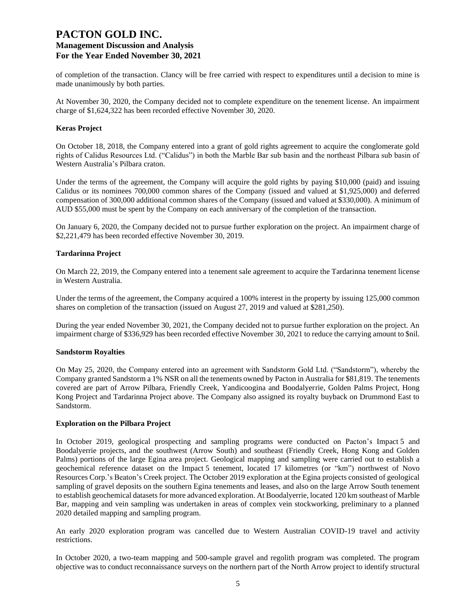of completion of the transaction. Clancy will be free carried with respect to expenditures until a decision to mine is made unanimously by both parties.

At November 30, 2020, the Company decided not to complete expenditure on the tenement license. An impairment charge of \$1,624,322 has been recorded effective November 30, 2020.

### **Keras Project**

On October 18, 2018, the Company entered into a grant of gold rights agreement to acquire the conglomerate gold rights of Calidus Resources Ltd. ("Calidus") in both the Marble Bar sub basin and the northeast Pilbara sub basin of Western Australia's Pilbara craton.

Under the terms of the agreement, the Company will acquire the gold rights by paying \$10,000 (paid) and issuing Calidus or its nominees 700,000 common shares of the Company (issued and valued at \$1,925,000) and deferred compensation of 300,000 additional common shares of the Company (issued and valued at \$330,000). A minimum of AUD \$55,000 must be spent by the Company on each anniversary of the completion of the transaction.

On January 6, 2020, the Company decided not to pursue further exploration on the project. An impairment charge of \$2,221,479 has been recorded effective November 30, 2019.

#### **Tardarinna Project**

On March 22, 2019, the Company entered into a tenement sale agreement to acquire the Tardarinna tenement license in Western Australia.

Under the terms of the agreement, the Company acquired a 100% interest in the property by issuing 125,000 common shares on completion of the transaction (issued on August 27, 2019 and valued at \$281,250).

During the year ended November 30, 2021, the Company decided not to pursue further exploration on the project. An impairment charge of \$336,929 has been recorded effective November 30, 2021 to reduce the carrying amount to \$nil.

#### **Sandstorm Royalties**

On May 25, 2020, the Company entered into an agreement with Sandstorm Gold Ltd. ("Sandstorm"), whereby the Company granted Sandstorm a 1% NSR on all the tenements owned by Pacton in Australia for \$81,819. The tenements covered are part of Arrow Pilbara, Friendly Creek, Yandicoogina and Boodalyerrie, Golden Palms Project, Hong Kong Project and Tardarinna Project above. The Company also assigned its royalty buyback on Drummond East to Sandstorm.

#### **Exploration on the Pilbara Project**

In October 2019, geological prospecting and sampling programs were conducted on Pacton's Impact 5 and Boodalyerrie projects, and the southwest (Arrow South) and southeast (Friendly Creek, Hong Kong and Golden Palms) portions of the large Egina area project. Geological mapping and sampling were carried out to establish a geochemical reference dataset on the Impact 5 tenement, located 17 kilometres (or "km") northwest of Novo Resources Corp.'s Beaton's Creek project. The October 2019 exploration at the Egina projects consisted of geological sampling of gravel deposits on the southern Egina tenements and leases, and also on the large Arrow South tenement to establish geochemical datasets for more advanced exploration. At Boodalyerrie, located 120 km southeast of Marble Bar, mapping and vein sampling was undertaken in areas of complex vein stockworking, preliminary to a planned 2020 detailed mapping and sampling program.

An early 2020 exploration program was cancelled due to Western Australian COVID-19 travel and activity restrictions.

In October 2020, a two-team mapping and 500-sample gravel and regolith program was completed. The program objective was to conduct reconnaissance surveys on the northern part of the North Arrow project to identify structural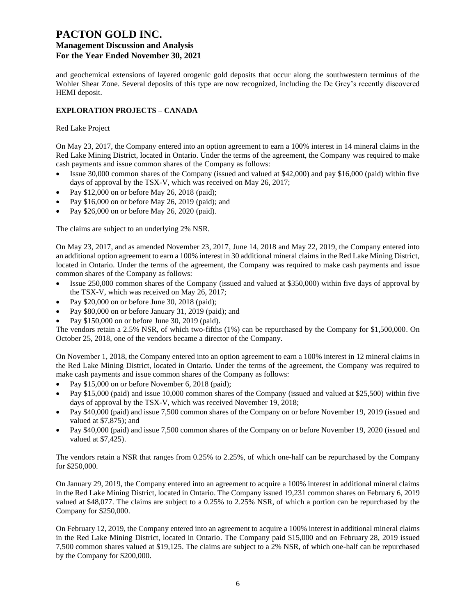# **PACTON GOLD INC.**

## **Management Discussion and Analysis For the Year Ended November 30, 2021**

and geochemical extensions of layered orogenic gold deposits that occur along the southwestern terminus of the Wohler Shear Zone. Several deposits of this type are now recognized, including the De Grey's recently discovered HEMI deposit.

### **EXPLORATION PROJECTS – CANADA**

### Red Lake Project

On May 23, 2017, the Company entered into an option agreement to earn a 100% interest in 14 mineral claims in the Red Lake Mining District, located in Ontario. Under the terms of the agreement, the Company was required to make cash payments and issue common shares of the Company as follows:

- Issue 30,000 common shares of the Company (issued and valued at \$42,000) and pay \$16,000 (paid) within five days of approval by the TSX-V, which was received on May 26, 2017;
- Pay \$12,000 on or before May 26, 2018 (paid);
- Pay \$16,000 on or before May 26, 2019 (paid); and
- Pay \$26,000 on or before May 26, 2020 (paid).

The claims are subject to an underlying 2% NSR.

On May 23, 2017, and as amended November 23, 2017, June 14, 2018 and May 22, 2019, the Company entered into an additional option agreement to earn a 100% interest in 30 additional mineral claims in the Red Lake Mining District, located in Ontario. Under the terms of the agreement, the Company was required to make cash payments and issue common shares of the Company as follows:

- Issue 250,000 common shares of the Company (issued and valued at \$350,000) within five days of approval by the TSX-V, which was received on May 26, 2017;
- Pay \$20,000 on or before June 30, 2018 (paid);
- Pay \$80,000 on or before January 31, 2019 (paid); and
- Pay \$150,000 on or before June 30, 2019 (paid).

The vendors retain a 2.5% NSR, of which two-fifths (1%) can be repurchased by the Company for \$1,500,000. On October 25, 2018, one of the vendors became a director of the Company.

On November 1, 2018, the Company entered into an option agreement to earn a 100% interest in 12 mineral claims in the Red Lake Mining District, located in Ontario. Under the terms of the agreement, the Company was required to make cash payments and issue common shares of the Company as follows:

- Pay \$15,000 on or before November 6, 2018 (paid);
- Pay \$15,000 (paid) and issue 10,000 common shares of the Company (issued and valued at \$25,500) within five days of approval by the TSX-V, which was received November 19, 2018;
- Pay \$40,000 (paid) and issue 7,500 common shares of the Company on or before November 19, 2019 (issued and valued at \$7,875); and
- Pay \$40,000 (paid) and issue 7,500 common shares of the Company on or before November 19, 2020 (issued and valued at \$7,425).

The vendors retain a NSR that ranges from 0.25% to 2.25%, of which one-half can be repurchased by the Company for \$250,000.

On January 29, 2019, the Company entered into an agreement to acquire a 100% interest in additional mineral claims in the Red Lake Mining District, located in Ontario. The Company issued 19,231 common shares on February 6, 2019 valued at \$48,077. The claims are subject to a 0.25% to 2.25% NSR, of which a portion can be repurchased by the Company for \$250,000.

On February 12, 2019, the Company entered into an agreement to acquire a 100% interest in additional mineral claims in the Red Lake Mining District, located in Ontario. The Company paid \$15,000 and on February 28, 2019 issued 7,500 common shares valued at \$19,125. The claims are subject to a 2% NSR, of which one-half can be repurchased by the Company for \$200,000.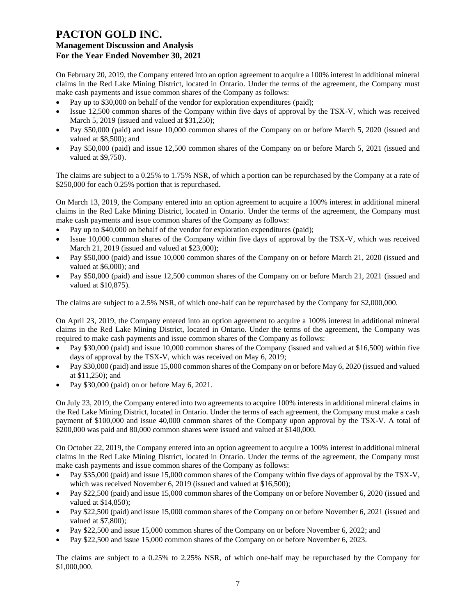On February 20, 2019, the Company entered into an option agreement to acquire a 100% interest in additional mineral claims in the Red Lake Mining District, located in Ontario. Under the terms of the agreement, the Company must make cash payments and issue common shares of the Company as follows:

- Pay up to \$30,000 on behalf of the vendor for exploration expenditures (paid);
- Issue 12,500 common shares of the Company within five days of approval by the TSX-V, which was received March 5, 2019 (issued and valued at \$31,250);
- Pay \$50,000 (paid) and issue 10,000 common shares of the Company on or before March 5, 2020 (issued and valued at \$8,500); and
- Pay \$50,000 (paid) and issue 12,500 common shares of the Company on or before March 5, 2021 (issued and valued at \$9,750).

The claims are subject to a 0.25% to 1.75% NSR, of which a portion can be repurchased by the Company at a rate of \$250,000 for each 0.25% portion that is repurchased.

On March 13, 2019, the Company entered into an option agreement to acquire a 100% interest in additional mineral claims in the Red Lake Mining District, located in Ontario. Under the terms of the agreement, the Company must make cash payments and issue common shares of the Company as follows:

- Pay up to \$40,000 on behalf of the vendor for exploration expenditures (paid);
- Issue 10,000 common shares of the Company within five days of approval by the TSX-V, which was received March 21, 2019 (issued and valued at \$23,000);
- Pay \$50,000 (paid) and issue 10,000 common shares of the Company on or before March 21, 2020 (issued and valued at \$6,000); and
- Pay \$50,000 (paid) and issue 12,500 common shares of the Company on or before March 21, 2021 (issued and valued at \$10,875).

The claims are subject to a 2.5% NSR, of which one-half can be repurchased by the Company for \$2,000,000.

On April 23, 2019, the Company entered into an option agreement to acquire a 100% interest in additional mineral claims in the Red Lake Mining District, located in Ontario. Under the terms of the agreement, the Company was required to make cash payments and issue common shares of the Company as follows:

- Pay \$30,000 (paid) and issue 10,000 common shares of the Company (issued and valued at \$16,500) within five days of approval by the TSX-V, which was received on May 6, 2019;
- Pay \$30,000 (paid) and issue 15,000 common shares of the Company on or before May 6, 2020 (issued and valued at \$11,250); and
- Pay \$30,000 (paid) on or before May 6, 2021.

On July 23, 2019, the Company entered into two agreements to acquire 100% interests in additional mineral claims in the Red Lake Mining District, located in Ontario. Under the terms of each agreement, the Company must make a cash payment of \$100,000 and issue 40,000 common shares of the Company upon approval by the TSX-V. A total of \$200,000 was paid and 80,000 common shares were issued and valued at \$140,000.

On October 22, 2019, the Company entered into an option agreement to acquire a 100% interest in additional mineral claims in the Red Lake Mining District, located in Ontario. Under the terms of the agreement, the Company must make cash payments and issue common shares of the Company as follows:

- Pay \$35,000 (paid) and issue 15,000 common shares of the Company within five days of approval by the TSX-V, which was received November 6, 2019 (issued and valued at \$16,500);
- Pay \$22,500 (paid) and issue 15,000 common shares of the Company on or before November 6, 2020 (issued and valued at \$14,850);
- Pay \$22,500 (paid) and issue 15,000 common shares of the Company on or before November 6, 2021 (issued and valued at \$7,800);
- Pay \$22,500 and issue 15,000 common shares of the Company on or before November 6, 2022; and
- Pay \$22,500 and issue 15,000 common shares of the Company on or before November 6, 2023.

The claims are subject to a 0.25% to 2.25% NSR, of which one-half may be repurchased by the Company for \$1,000,000.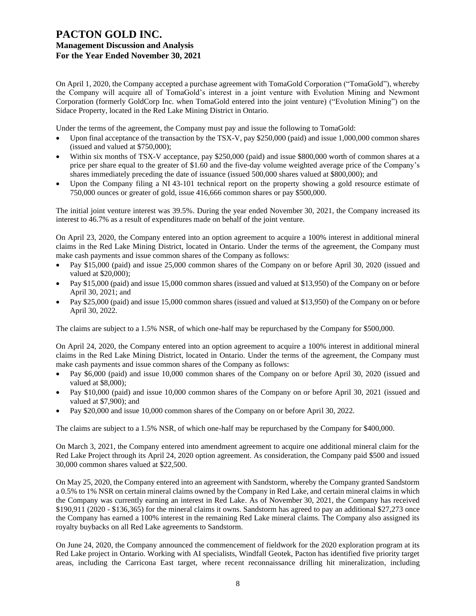On April 1, 2020, the Company accepted a purchase agreement with TomaGold Corporation ("TomaGold"), whereby the Company will acquire all of TomaGold's interest in a joint venture with Evolution Mining and Newmont Corporation (formerly GoldCorp Inc. when TomaGold entered into the joint venture) ("Evolution Mining") on the Sidace Property, located in the Red Lake Mining District in Ontario.

Under the terms of the agreement, the Company must pay and issue the following to TomaGold:

- Upon final acceptance of the transaction by the TSX-V, pay \$250,000 (paid) and issue 1,000,000 common shares (issued and valued at \$750,000);
- Within six months of TSX-V acceptance, pay \$250,000 (paid) and issue \$800,000 worth of common shares at a price per share equal to the greater of \$1.60 and the five-day volume weighted average price of the Company's shares immediately preceding the date of issuance (issued 500,000 shares valued at \$800,000); and
- Upon the Company filing a NI 43-101 technical report on the property showing a gold resource estimate of 750,000 ounces or greater of gold, issue 416,666 common shares or pay \$500,000.

The initial joint venture interest was 39.5%. During the year ended November 30, 2021, the Company increased its interest to 46.7% as a result of expenditures made on behalf of the joint venture.

On April 23, 2020, the Company entered into an option agreement to acquire a 100% interest in additional mineral claims in the Red Lake Mining District, located in Ontario. Under the terms of the agreement, the Company must make cash payments and issue common shares of the Company as follows:

- Pay \$15,000 (paid) and issue 25,000 common shares of the Company on or before April 30, 2020 (issued and valued at \$20,000);
- Pay \$15,000 (paid) and issue 15,000 common shares (issued and valued at \$13,950) of the Company on or before April 30, 2021; and
- Pay \$25,000 (paid) and issue 15,000 common shares (issued and valued at \$13,950) of the Company on or before April 30, 2022.

The claims are subject to a 1.5% NSR, of which one-half may be repurchased by the Company for \$500,000.

On April 24, 2020, the Company entered into an option agreement to acquire a 100% interest in additional mineral claims in the Red Lake Mining District, located in Ontario. Under the terms of the agreement, the Company must make cash payments and issue common shares of the Company as follows:

- Pay \$6,000 (paid) and issue 10,000 common shares of the Company on or before April 30, 2020 (issued and valued at \$8,000);
- Pay \$10,000 (paid) and issue 10,000 common shares of the Company on or before April 30, 2021 (issued and valued at \$7,900); and
- Pay \$20,000 and issue 10,000 common shares of the Company on or before April 30, 2022.

The claims are subject to a 1.5% NSR, of which one-half may be repurchased by the Company for \$400,000.

On March 3, 2021, the Company entered into amendment agreement to acquire one additional mineral claim for the Red Lake Project through its April 24, 2020 option agreement. As consideration, the Company paid \$500 and issued 30,000 common shares valued at \$22,500.

On May 25, 2020, the Company entered into an agreement with Sandstorm, whereby the Company granted Sandstorm a 0.5% to 1% NSR on certain mineral claims owned by the Company in Red Lake, and certain mineral claims in which the Company was currently earning an interest in Red Lake. As of November 30, 2021, the Company has received \$190,911 (2020 - \$136,365) for the mineral claims it owns. Sandstorm has agreed to pay an additional \$27,273 once the Company has earned a 100% interest in the remaining Red Lake mineral claims. The Company also assigned its royalty buybacks on all Red Lake agreements to Sandstorm.

On June 24, 2020, the Company announced the commencement of fieldwork for the 2020 exploration program at its Red Lake project in Ontario. Working with AI specialists, Windfall Geotek, Pacton has identified five priority target areas, including the Carricona East target, where recent reconnaissance drilling hit mineralization, including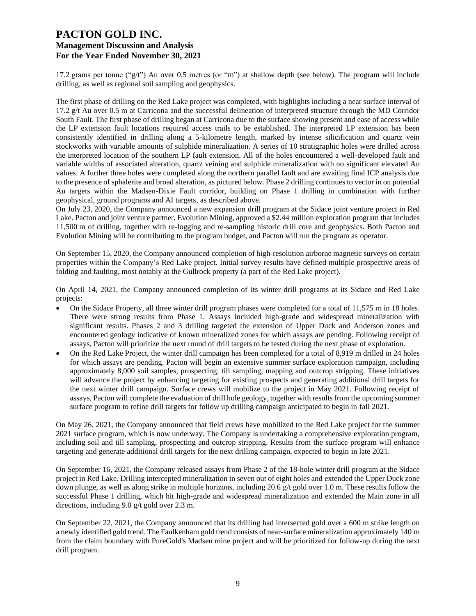17.2 grams per tonne ("g/t") Au over 0.5 metres (or "m") at shallow depth (see below). The program will include drilling, as well as regional soil sampling and geophysics.

The first phase of drilling on the Red Lake project was completed, with highlights including a near surface interval of 17.2 g/t Au over 0.5 m at Carricona and the successful delineation of interpreted structure through the MD Corridor South Fault. The first phase of drilling began at Carricona due to the surface showing present and ease of access while the LP extension fault locations required access trails to be established. The interpreted LP extension has been consistently identified in drilling along a 5-kilometre length, marked by intense silicification and quartz vein stockworks with variable amounts of sulphide mineralization. A series of 10 stratigraphic holes were drilled across the interpreted location of the southern LP fault extension. All of the holes encountered a well-developed fault and variable widths of associated alteration, quartz veining and sulphide mineralization with no significant elevated Au values. A further three holes were completed along the northern parallel fault and are awaiting final ICP analysis due to the presence of sphalerite and broad alteration, as pictured below. Phase 2 drilling continues to vector in on potential Au targets within the Madsen-Dixie Fault corridor, building on Phase 1 drilling in combination with further geophysical, ground programs and AI targets, as described above.

On July 23, 2020, the Company announced a new expansion drill program at the Sidace joint venture project in Red Lake. Pacton and joint venture partner, Evolution Mining, approved a \$2.44 million exploration program that includes 11,500 m of drilling, together with re-logging and re-sampling historic drill core and geophysics. Both Pacton and Evolution Mining will be contributing to the program budget, and Pacton will run the program as operator.

On September 15, 2020, the Company announced completion of high-resolution airborne magnetic surveys on certain properties within the Company's Red Lake project. Initial survey results have defined multiple prospective areas of folding and faulting, most notably at the Gullrock property (a part of the Red Lake project).

On April 14, 2021, the Company announced completion of its winter drill programs at its Sidace and Red Lake projects:

- On the Sidace Property, all three winter drill program phases were completed for a total of 11,575 m in 18 holes. There were strong results from Phase 1. Assays included high-grade and widespread mineralization with significant results. Phases 2 and 3 drilling targeted the extension of Upper Duck and Anderson zones and encountered geology indicative of known mineralized zones for which assays are pending. Following receipt of assays, Pacton will prioritize the next round of drill targets to be tested during the next phase of exploration.
- On the Red Lake Project, the winter drill campaign has been completed for a total of 8,919 m drilled in 24 holes for which assays are pending. Pacton will begin an extensive summer surface exploration campaign, including approximately 8,000 soil samples, prospecting, till sampling, mapping and outcrop stripping. These initiatives will advance the project by enhancing targeting for existing prospects and generating additional drill targets for the next winter drill campaign. Surface crews will mobilize to the project in May 2021. Following receipt of assays, Pacton will complete the evaluation of drill hole geology, together with results from the upcoming summer surface program to refine drill targets for follow up drilling campaign anticipated to begin in fall 2021.

On May 26, 2021, the Company announced that field crews have mobilized to the Red Lake project for the summer 2021 surface program, which is now underway. The Company is undertaking a comprehensive exploration program, including soil and till sampling, prospecting and outcrop stripping. Results from the surface program will enhance targeting and generate additional drill targets for the next drilling campaign, expected to begin in late 2021.

On September 16, 2021, the Company released assays from Phase 2 of the 18-hole winter drill program at the Sidace project in Red Lake. Drilling intercepted mineralization in seven out of eight holes and extended the Upper Duck zone down plunge, as well as along strike in multiple horizons, including 20.6 g/t gold over 1.0 m. These results follow the successful Phase 1 drilling, which hit high-grade and widespread mineralization and extended the Main zone in all directions, including 9.0 g/t gold over 2.3 m.

On September 22, 2021, the Company announced that its drilling had intersected gold over a 600 m strike length on a newly identified gold trend. The Faulkenham gold trend consists of near-surface mineralization approximately 140 m from the claim boundary with PureGold's Madsen mine project and will be prioritized for follow-up during the next drill program.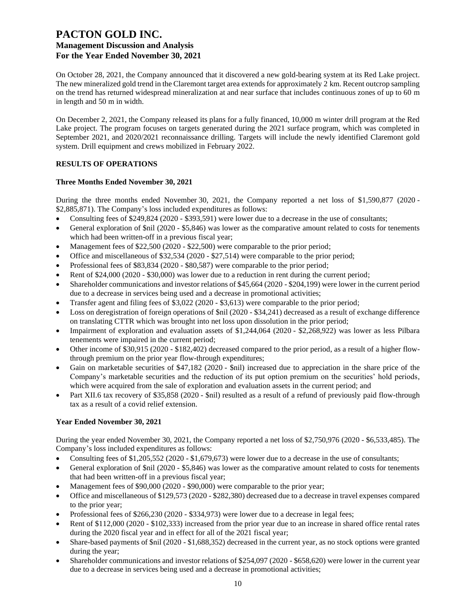On October 28, 2021, the Company announced that it discovered a new gold-bearing system at its Red Lake project. The new mineralized gold trend in the Claremont target area extends for approximately 2 km. Recent outcrop sampling on the trend has returned widespread mineralization at and near surface that includes continuous zones of up to 60 m in length and 50 m in width.

On December 2, 2021, the Company released its plans for a fully financed, 10,000 m winter drill program at the Red Lake project. The program focuses on targets generated during the 2021 surface program, which was completed in September 2021, and 2020/2021 reconnaissance drilling. Targets will include the newly identified Claremont gold system. Drill equipment and crews mobilized in February 2022.

### **RESULTS OF OPERATIONS**

### **Three Months Ended November 30, 2021**

During the three months ended November 30, 2021, the Company reported a net loss of \$1,590,877 (2020 - \$2,885,871). The Company's loss included expenditures as follows:

- Consulting fees of \$249,824 (2020 \$393,591) were lower due to a decrease in the use of consultants;
- General exploration of  $\text{snil}$  (2020 \$5,846) was lower as the comparative amount related to costs for tenements which had been written-off in a previous fiscal year;
- Management fees of \$22,500 (2020 \$22,500) were comparable to the prior period;
- Office and miscellaneous of \$32,534 (2020 \$27,514) were comparable to the prior period;
- Professional fees of \$83,834 (2020 \$80,587) were comparable to the prior period;
- Rent of \$24,000 (2020 \$30,000) was lower due to a reduction in rent during the current period;
- Shareholder communications and investor relations of \$45,664 (2020 \$204,199) were lower in the current period due to a decrease in services being used and a decrease in promotional activities;
- Transfer agent and filing fees of \$3,022 (2020 \$3,613) were comparable to the prior period;
- Loss on deregistration of foreign operations of  $\sin(2020 334,241)$  decreased as a result of exchange difference on translating CTTR which was brought into net loss upon dissolution in the prior period;
- Impairment of exploration and evaluation assets of \$1,244,064 (2020 \$2,268,922) was lower as less Pilbara tenements were impaired in the current period;
- Other income of \$30,915 (2020 \$182,402) decreased compared to the prior period, as a result of a higher flowthrough premium on the prior year flow-through expenditures;
- Gain on marketable securities of \$47,182 (2020 \$nil) increased due to appreciation in the share price of the Company's marketable securities and the reduction of its put option premium on the securities' hold periods, which were acquired from the sale of exploration and evaluation assets in the current period; and
- Part XII.6 tax recovery of \$35,858 (2020 \$nil) resulted as a result of a refund of previously paid flow-through tax as a result of a covid relief extension.

### **Year Ended November 30, 2021**

During the year ended November 30, 2021, the Company reported a net loss of \$2,750,976 (2020 - \$6,533,485). The Company's loss included expenditures as follows:

- Consulting fees of \$1,205,552 (2020 \$1,679,673) were lower due to a decrease in the use of consultants;
- General exploration of  $\text{snil}$  (2020 \$5,846) was lower as the comparative amount related to costs for tenements that had been written-off in a previous fiscal year;
- Management fees of \$90,000 (2020 \$90,000) were comparable to the prior year;
- Office and miscellaneous of \$129,573 (2020 \$282,380) decreased due to a decrease in travel expenses compared to the prior year;
- Professional fees of \$266,230 (2020 \$334,973) were lower due to a decrease in legal fees;
- Rent of \$112,000 (2020 \$102,333) increased from the prior year due to an increase in shared office rental rates during the 2020 fiscal year and in effect for all of the 2021 fiscal year;
- Share-based payments of \$nil (2020 \$1,688,352) decreased in the current year, as no stock options were granted during the year;
- Shareholder communications and investor relations of \$254,097 (2020 \$658,620) were lower in the current year due to a decrease in services being used and a decrease in promotional activities;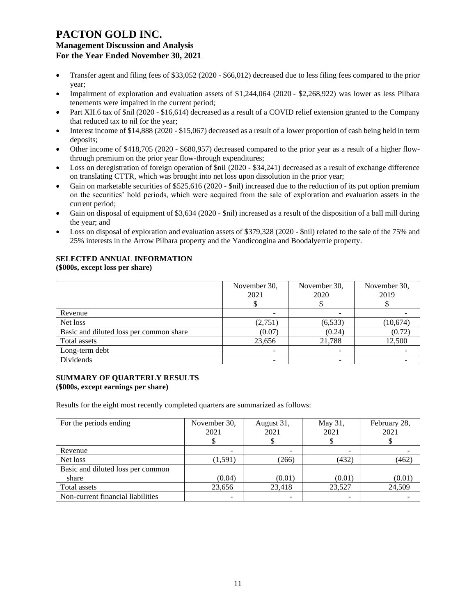- Transfer agent and filing fees of \$33,052 (2020 \$66,012) decreased due to less filing fees compared to the prior year;
- Impairment of exploration and evaluation assets of \$1,244,064 (2020 \$2,268,922) was lower as less Pilbara tenements were impaired in the current period;
- Part XII.6 tax of \$nil (2020 \$16,614) decreased as a result of a COVID relief extension granted to the Company that reduced tax to nil for the year;
- Interest income of \$14,888 (2020 \$15,067) decreased as a result of a lower proportion of cash being held in term deposits;
- Other income of \$418,705 (2020 \$680,957) decreased compared to the prior year as a result of a higher flowthrough premium on the prior year flow-through expenditures;
- Loss on deregistration of foreign operation of \$nil (2020 \$34,241) decreased as a result of exchange difference on translating CTTR, which was brought into net loss upon dissolution in the prior year;
- Gain on marketable securities of \$525,616 (2020 \$nil) increased due to the reduction of its put option premium on the securities' hold periods, which were acquired from the sale of exploration and evaluation assets in the current period;
- Gain on disposal of equipment of \$3,634 (2020 \$nil) increased as a result of the disposition of a ball mill during the year; and
- Loss on disposal of exploration and evaluation assets of \$379,328 (2020 \$nil) related to the sale of the 75% and 25% interests in the Arrow Pilbara property and the Yandicoogina and Boodalyerrie property.

#### **SELECTED ANNUAL INFORMATION (\$000s, except loss per share)**

|                                         | November 30,<br>2021 | November 30,<br>2020 | November 30,<br>2019 |
|-----------------------------------------|----------------------|----------------------|----------------------|
| Revenue                                 |                      |                      |                      |
| Net loss                                | (2,751)              | (6, 533)             | (10,674)             |
| Basic and diluted loss per common share | (0.07)               | (0.24)               | (0.72)               |
| Total assets                            | 23,656               | 21,788               | 12,500               |
| Long-term debt                          |                      |                      |                      |
| Dividends                               |                      |                      |                      |

### **SUMMARY OF QUARTERLY RESULTS (\$000s, except earnings per share)**

Results for the eight most recently completed quarters are summarized as follows:

| For the periods ending            | November 30,<br>2021 | August 31,<br>2021 | May 31,<br>2021 | February 28,<br>2021 |
|-----------------------------------|----------------------|--------------------|-----------------|----------------------|
| Revenue                           |                      |                    |                 |                      |
| Net loss                          | (1,591)              | (266)              | (432)           | (462)                |
| Basic and diluted loss per common |                      |                    |                 |                      |
| share                             | (0.04)               | (0.01)             | (0.01)          | (0.01)               |
| Total assets                      | 23,656               | 23,418             | 23,527          | 24,509               |
| Non-current financial liabilities |                      |                    |                 |                      |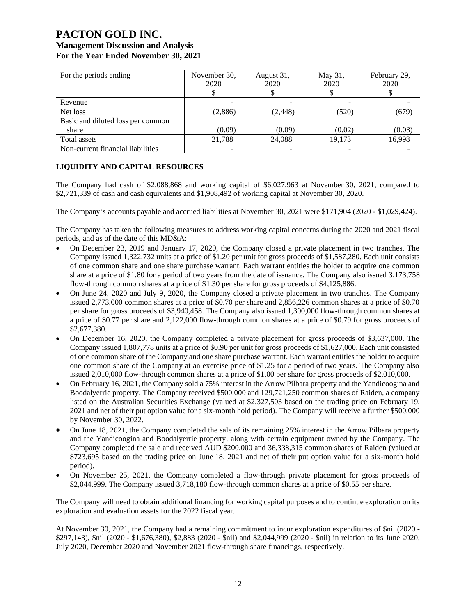# **PACTON GOLD INC. Management Discussion and Analysis**

| For the Year Ended November 30, 2021 |
|--------------------------------------|
|--------------------------------------|

| For the periods ending            | November 30,<br>2020 | August 31,<br>2020 | May 31,<br>2020 | February 29,<br>2020 |
|-----------------------------------|----------------------|--------------------|-----------------|----------------------|
|                                   |                      |                    |                 |                      |
| Revenue                           |                      |                    |                 |                      |
| Net loss                          | (2,886)              | (2, 448)           | (520)           | (679)                |
| Basic and diluted loss per common |                      |                    |                 |                      |
| share                             | (0.09)               | (0.09)             | (0.02)          | (0.03)               |
| Total assets                      | 21,788               | 24,088             | 19,173          | 16,998               |
| Non-current financial liabilities |                      |                    |                 |                      |

### **LIQUIDITY AND CAPITAL RESOURCES**

The Company had cash of \$2,088,868 and working capital of \$6,027,963 at November 30, 2021, compared to \$2,721,339 of cash and cash equivalents and \$1,908,492 of working capital at November 30, 2020.

The Company's accounts payable and accrued liabilities at November 30, 2021 were \$171,904 (2020 - \$1,029,424).

The Company has taken the following measures to address working capital concerns during the 2020 and 2021 fiscal periods, and as of the date of this MD&A:

- On December 23, 2019 and January 17, 2020, the Company closed a private placement in two tranches. The Company issued 1,322,732 units at a price of \$1.20 per unit for gross proceeds of \$1,587,280. Each unit consists of one common share and one share purchase warrant. Each warrant entitles the holder to acquire one common share at a price of \$1.80 for a period of two years from the date of issuance. The Company also issued 3,173,758 flow-through common shares at a price of \$1.30 per share for gross proceeds of \$4,125,886.
- On June 24, 2020 and July 9, 2020, the Company closed a private placement in two tranches. The Company issued 2,773,000 common shares at a price of \$0.70 per share and 2,856,226 common shares at a price of \$0.70 per share for gross proceeds of \$3,940,458. The Company also issued 1,300,000 flow-through common shares at a price of \$0.77 per share and 2,122,000 flow-through common shares at a price of \$0.79 for gross proceeds of \$2,677,380.
- On December 16, 2020, the Company completed a private placement for gross proceeds of \$3,637,000. The Company issued 1,807,778 units at a price of \$0.90 per unit for gross proceeds of \$1,627,000. Each unit consisted of one common share of the Company and one share purchase warrant. Each warrant entitles the holder to acquire one common share of the Company at an exercise price of \$1.25 for a period of two years. The Company also issued 2,010,000 flow-through common shares at a price of \$1.00 per share for gross proceeds of \$2,010,000.
- On February 16, 2021, the Company sold a 75% interest in the Arrow Pilbara property and the Yandicoogina and Boodalyerrie property. The Company received \$500,000 and 129,721,250 common shares of Raiden, a company listed on the Australian Securities Exchange (valued at \$2,327,503 based on the trading price on February 19, 2021 and net of their put option value for a six-month hold period). The Company will receive a further \$500,000 by November 30, 2022.
- On June 18, 2021, the Company completed the sale of its remaining 25% interest in the Arrow Pilbara property and the Yandicoogina and Boodalyerrie property, along with certain equipment owned by the Company. The Company completed the sale and received AUD \$200,000 and 36,338,315 common shares of Raiden (valued at \$723,695 based on the trading price on June 18, 2021 and net of their put option value for a six-month hold period).
- On November 25, 2021, the Company completed a flow-through private placement for gross proceeds of \$2,044,999. The Company issued 3,718,180 flow-through common shares at a price of \$0.55 per share.

The Company will need to obtain additional financing for working capital purposes and to continue exploration on its exploration and evaluation assets for the 2022 fiscal year.

At November 30, 2021, the Company had a remaining commitment to incur exploration expenditures of \$nil (2020 - \$297,143), \$nil (2020 - \$1,676,380), \$2,883 (2020 - \$nil) and \$2,044,999 (2020 - \$nil) in relation to its June 2020, July 2020, December 2020 and November 2021 flow-through share financings, respectively.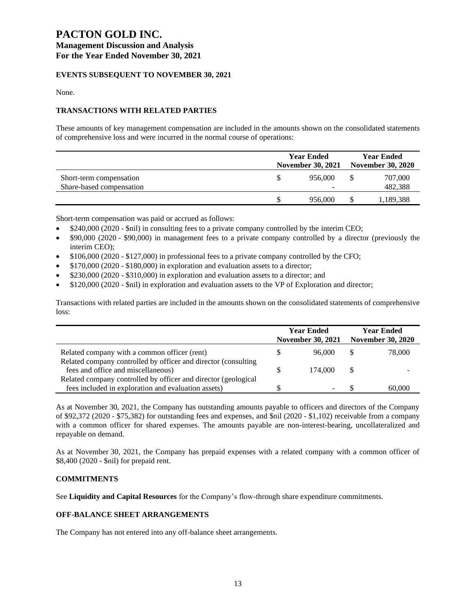### **EVENTS SUBSEQUENT TO NOVEMBER 30, 2021**

None.

### **TRANSACTIONS WITH RELATED PARTIES**

These amounts of key management compensation are included in the amounts shown on the consolidated statements of comprehensive loss and were incurred in the normal course of operations:

|                          | <b>Year Ended</b><br><b>November 30, 2021</b> |         |  | <b>Year Ended</b><br><b>November 30, 2020</b> |  |
|--------------------------|-----------------------------------------------|---------|--|-----------------------------------------------|--|
| Short-term compensation  |                                               | 956,000 |  | 707,000                                       |  |
| Share-based compensation |                                               |         |  | 482,388                                       |  |
|                          |                                               | 956,000 |  | 1,189,388                                     |  |

Short-term compensation was paid or accrued as follows:

- \$240,000 (2020 \$nil) in consulting fees to a private company controlled by the interim CEO;
- \$90,000 (2020 \$90,000) in management fees to a private company controlled by a director (previously the interim CEO);
- \$106,000 (2020 \$127,000) in professional fees to a private company controlled by the CFO;
- \$170,000 (2020 \$180,000) in exploration and evaluation assets to a director;
- $$230,000 (2020 $310,000)$  in exploration and evaluation assets to a director; and
- \$120,000 (2020 \$nil) in exploration and evaluation assets to the VP of Exploration and director;

Transactions with related parties are included in the amounts shown on the consolidated statements of comprehensive loss:

|                                                                | <b>Year Ended</b><br><b>November 30, 2021</b> | <b>Year Ended</b><br><b>November 30, 2020</b> |        |
|----------------------------------------------------------------|-----------------------------------------------|-----------------------------------------------|--------|
| Related company with a common officer (rent)                   | 96.000                                        |                                               | 78,000 |
| Related company controlled by officer and director (consulting |                                               |                                               |        |
| fees and office and miscellaneous)                             | 174.000                                       | S                                             |        |
| Related company controlled by officer and director (geological |                                               |                                               |        |
| fees included in exploration and evaluation assets)            |                                               |                                               | 60,000 |

As at November 30, 2021, the Company has outstanding amounts payable to officers and directors of the Company of \$92,372 (2020 - \$75,382) for outstanding fees and expenses, and \$nil (2020 - \$1,102) receivable from a company with a common officer for shared expenses. The amounts payable are non-interest-bearing, uncollateralized and repayable on demand.

As at November 30, 2021, the Company has prepaid expenses with a related company with a common officer of \$8,400 (2020 - \$nil) for prepaid rent.

### **COMMITMENTS**

See **Liquidity and Capital Resources** for the Company's flow-through share expenditure commitments.

### **OFF-BALANCE SHEET ARRANGEMENTS**

The Company has not entered into any off-balance sheet arrangements.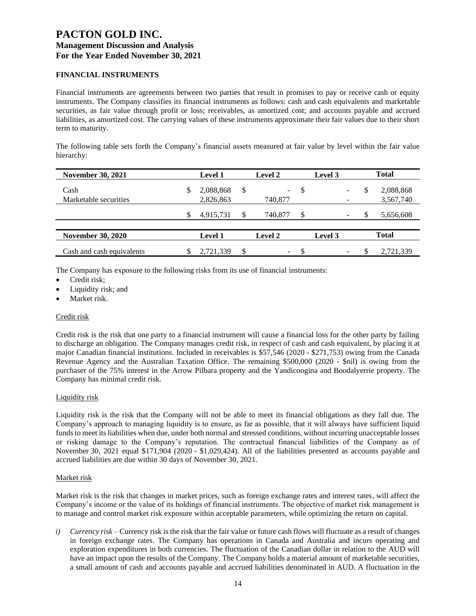### **FINANCIAL INSTRUMENTS**

Financial instruments are agreements between two parties that result in promises to pay or receive cash or equity instruments. The Company classifies its financial instruments as follows: cash and cash equivalents and marketable securities, as fair value through profit or loss; receivables, as amortized cost; and accounts payable and accrued liabilities, as amortized cost. The carrying values of these instruments approximate their fair values due to their short term to maturity.

The following table sets forth the Company's financial assets measured at fair value by level within the fair value hierarchy:

| <b>November 30, 2021</b>  | <b>Level 1</b>  |    | <b>Level 2</b> |    | Level 3 |   | <b>Total</b> |
|---------------------------|-----------------|----|----------------|----|---------|---|--------------|
| Cash                      | \$<br>2,088,868 | \$ |                | S  |         | S | 2,088,868    |
| Marketable securities     | 2,826,863       |    | 740,877        |    |         |   | 3,567,740    |
|                           | 4,915,731       | S  | 740,877        | \$ |         |   | 5,656,608    |
|                           |                 |    |                |    |         |   |              |
| <b>November 30, 2020</b>  | <b>Level 1</b>  |    | Level 2        |    | Level 3 |   | <b>Total</b> |
| Cash and cash equivalents | 2,721,339       | \$ | -              | ъ  |         |   | 2,721,339    |

The Company has exposure to the following risks from its use of financial instruments:

- Credit risk;
- Liquidity risk; and
- Market risk.

### Credit risk

Credit risk is the risk that one party to a financial instrument will cause a financial loss for the other party by failing to discharge an obligation. The Company manages credit risk, in respect of cash and cash equivalent, by placing it at major Canadian financial institutions. Included in receivables is \$57,546 (2020 - \$271,753) owing from the Canada Revenue Agency and the Australian Taxation Office. The remaining \$500,000 (2020 - \$nil) is owing from the purchaser of the 75% interest in the Arrow Pilbara property and the Yandicoogina and Boodalyerrie property. The Company has minimal credit risk.

### Liquidity risk

Liquidity risk is the risk that the Company will not be able to meet its financial obligations as they fall due. The Company's approach to managing liquidity is to ensure, as far as possible, that it will always have sufficient liquid funds to meet its liabilities when due, under both normal and stressed conditions, without incurring unacceptable losses or risking damage to the Company's reputation. The contractual financial liabilities of the Company as of November 30, 2021 equal \$171,904 (2020 - \$1,029,424). All of the liabilities presented as accounts payable and accrued liabilities are due within 30 days of November 30, 2021.

#### Market risk

Market risk is the risk that changes in market prices, such as foreign exchange rates and interest rates, will affect the Company's income or the value of its holdings of financial instruments. The objective of market risk management is to manage and control market risk exposure within acceptable parameters, while optimizing the return on capital.

*i) Currency risk* – Currency risk is the risk that the fair value or future cash flows will fluctuate as a result of changes in foreign exchange rates. The Company has operations in Canada and Australia and incurs operating and exploration expenditures in both currencies. The fluctuation of the Canadian dollar in relation to the AUD will have an impact upon the results of the Company. The Company holds a material amount of marketable securities, a small amount of cash and accounts payable and accrued liabilities denominated in AUD. A fluctuation in the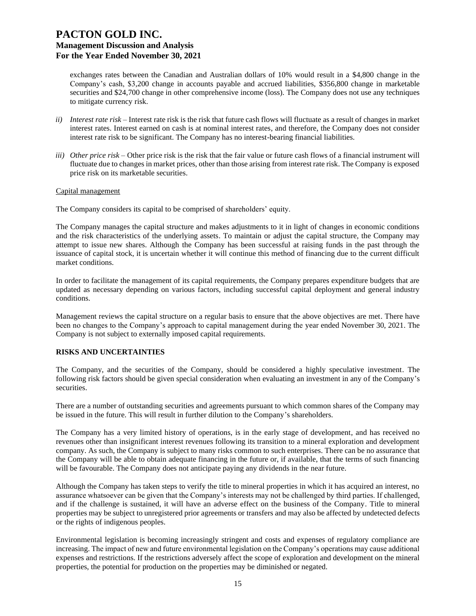exchanges rates between the Canadian and Australian dollars of 10% would result in a \$4,800 change in the Company's cash, \$3,200 change in accounts payable and accrued liabilities, \$356,800 change in marketable securities and \$24,700 change in other comprehensive income (loss). The Company does not use any techniques to mitigate currency risk.

- *ii) Interest rate risk –* Interest rate risk is the risk that future cash flows will fluctuate as a result of changes in market interest rates. Interest earned on cash is at nominal interest rates, and therefore, the Company does not consider interest rate risk to be significant. The Company has no interest-bearing financial liabilities.
- *iii) Other price risk –* Other price risk is the risk that the fair value or future cash flows of a financial instrument will fluctuate due to changes in market prices, other than those arising from interest rate risk. The Company is exposed price risk on its marketable securities.

#### Capital management

The Company considers its capital to be comprised of shareholders' equity.

The Company manages the capital structure and makes adjustments to it in light of changes in economic conditions and the risk characteristics of the underlying assets. To maintain or adjust the capital structure, the Company may attempt to issue new shares. Although the Company has been successful at raising funds in the past through the issuance of capital stock, it is uncertain whether it will continue this method of financing due to the current difficult market conditions.

In order to facilitate the management of its capital requirements, the Company prepares expenditure budgets that are updated as necessary depending on various factors, including successful capital deployment and general industry conditions.

Management reviews the capital structure on a regular basis to ensure that the above objectives are met. There have been no changes to the Company's approach to capital management during the year ended November 30, 2021. The Company is not subject to externally imposed capital requirements.

### **RISKS AND UNCERTAINTIES**

The Company, and the securities of the Company, should be considered a highly speculative investment. The following risk factors should be given special consideration when evaluating an investment in any of the Company's securities.

There are a number of outstanding securities and agreements pursuant to which common shares of the Company may be issued in the future. This will result in further dilution to the Company's shareholders.

The Company has a very limited history of operations, is in the early stage of development, and has received no revenues other than insignificant interest revenues following its transition to a mineral exploration and development company. As such, the Company is subject to many risks common to such enterprises. There can be no assurance that the Company will be able to obtain adequate financing in the future or, if available, that the terms of such financing will be favourable. The Company does not anticipate paying any dividends in the near future.

Although the Company has taken steps to verify the title to mineral properties in which it has acquired an interest, no assurance whatsoever can be given that the Company's interests may not be challenged by third parties. If challenged, and if the challenge is sustained, it will have an adverse effect on the business of the Company. Title to mineral properties may be subject to unregistered prior agreements or transfers and may also be affected by undetected defects or the rights of indigenous peoples.

Environmental legislation is becoming increasingly stringent and costs and expenses of regulatory compliance are increasing. The impact of new and future environmental legislation on the Company's operations may cause additional expenses and restrictions. If the restrictions adversely affect the scope of exploration and development on the mineral properties, the potential for production on the properties may be diminished or negated.